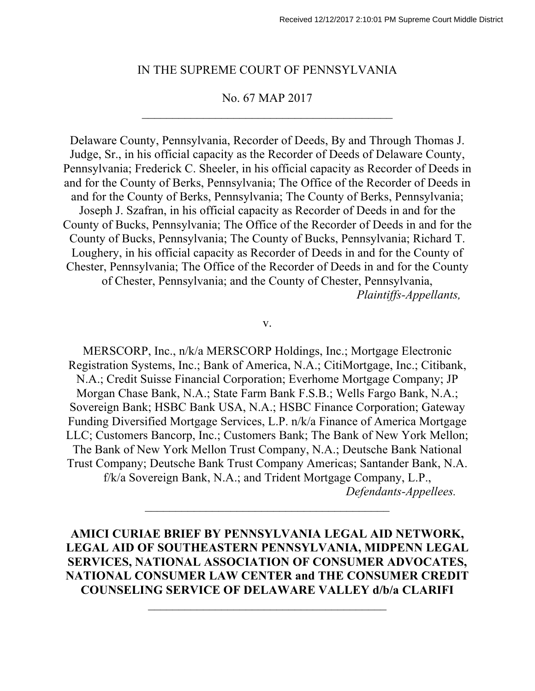#### IN THE SUPREME COURT OF PENNSYLVANIA

#### No. 67 MAP 2017

Delaware County, Pennsylvania, Recorder of Deeds, By and Through Thomas J. Judge, Sr., in his official capacity as the Recorder of Deeds of Delaware County, Pennsylvania; Frederick C. Sheeler, in his official capacity as Recorder of Deeds in and for the County of Berks, Pennsylvania; The Office of the Recorder of Deeds in and for the County of Berks, Pennsylvania; The County of Berks, Pennsylvania; Joseph J. Szafran, in his official capacity as Recorder of Deeds in and for the County of Bucks, Pennsylvania; The Office of the Recorder of Deeds in and for the County of Bucks, Pennsylvania; The County of Bucks, Pennsylvania; Richard T. Loughery, in his official capacity as Recorder of Deeds in and for the County of Chester, Pennsylvania; The Office of the Recorder of Deeds in and for the County of Chester, Pennsylvania; and the County of Chester, Pennsylvania, *Plaintiffs-Appellants,*

v.

MERSCORP, Inc., n/k/a MERSCORP Holdings, Inc.; Mortgage Electronic Registration Systems, Inc.; Bank of America, N.A.; CitiMortgage, Inc.; Citibank, N.A.; Credit Suisse Financial Corporation; Everhome Mortgage Company; JP Morgan Chase Bank, N.A.; State Farm Bank F.S.B.; Wells Fargo Bank, N.A.; Sovereign Bank; HSBC Bank USA, N.A.; HSBC Finance Corporation; Gateway Funding Diversified Mortgage Services, L.P. n/k/a Finance of America Mortgage LLC; Customers Bancorp, Inc.; Customers Bank; The Bank of New York Mellon; The Bank of New York Mellon Trust Company, N.A.; Deutsche Bank National Trust Company; Deutsche Bank Trust Company Americas; Santander Bank, N.A. f/k/a Sovereign Bank, N.A.; and Trident Mortgage Company, L.P.,

*Defendants-Appellees.* 

**AMICI CURIAE BRIEF BY PENNSYLVANIA LEGAL AID NETWORK, LEGAL AID OF SOUTHEASTERN PENNSYLVANIA, MIDPENN LEGAL SERVICES, NATIONAL ASSOCIATION OF CONSUMER ADVOCATES, NATIONAL CONSUMER LAW CENTER and THE CONSUMER CREDIT COUNSELING SERVICE OF DELAWARE VALLEY d/b/a CLARIFI**

 $\mathcal{L}_\text{max}$  , where  $\mathcal{L}_\text{max}$  , we are the set of the set of the set of the set of the set of the set of the set of the set of the set of the set of the set of the set of the set of the set of the set of the set of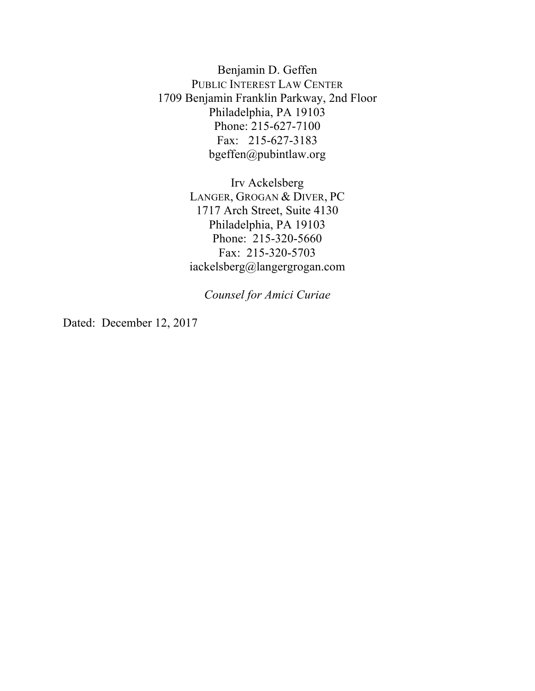Benjamin D. Geffen PUBLIC INTEREST LAW CENTER 1709 Benjamin Franklin Parkway, 2nd Floor Philadelphia, PA 19103 Phone: 215-627-7100 Fax: 215-627-3183 bgeffen@pubintlaw.org

> Irv Ackelsberg LANGER, GROGAN & DIVER, PC 1717 Arch Street, Suite 4130 Philadelphia, PA 19103 Phone: 215-320-5660 Fax: 215-320-5703 iackelsberg@langergrogan.com

*Counsel for Amici Curiae*

Dated: December 12, 2017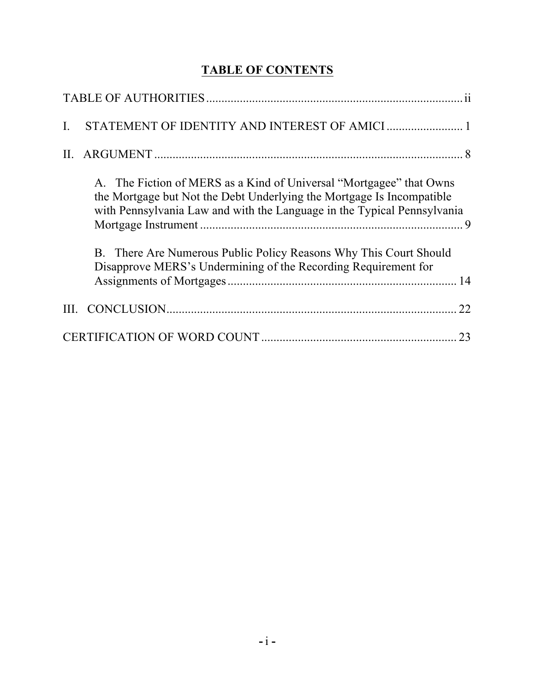# **TABLE OF CONTENTS**

|    | A. The Fiction of MERS as a Kind of Universal "Mortgagee" that Owns<br>the Mortgage but Not the Debt Underlying the Mortgage Is Incompatible<br>with Pennsylvania Law and with the Language in the Typical Pennsylvania<br>B. There Are Numerous Public Policy Reasons Why This Court Should |    |
|----|----------------------------------------------------------------------------------------------------------------------------------------------------------------------------------------------------------------------------------------------------------------------------------------------|----|
|    | Disapprove MERS's Undermining of the Recording Requirement for                                                                                                                                                                                                                               |    |
|    |                                                                                                                                                                                                                                                                                              | 22 |
| 23 |                                                                                                                                                                                                                                                                                              |    |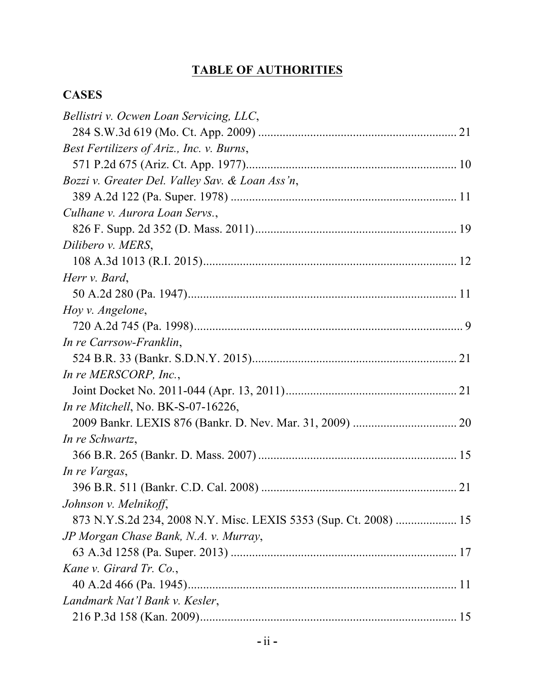# **TABLE OF AUTHORITIES**

## **CASES**

| Bellistri v. Ocwen Loan Servicing, LLC,                          |  |
|------------------------------------------------------------------|--|
|                                                                  |  |
| Best Fertilizers of Ariz., Inc. v. Burns,                        |  |
|                                                                  |  |
| Bozzi v. Greater Del. Valley Sav. & Loan Ass'n,                  |  |
|                                                                  |  |
| Culhane v. Aurora Loan Servs.,                                   |  |
|                                                                  |  |
| Dilibero v. MERS,                                                |  |
|                                                                  |  |
| Herr v. Bard,                                                    |  |
|                                                                  |  |
| Hoy v. Angelone,                                                 |  |
|                                                                  |  |
| In re Carrsow-Franklin,                                          |  |
|                                                                  |  |
| In re MERSCORP, Inc.,                                            |  |
|                                                                  |  |
| In re Mitchell, No. BK-S-07-16226,                               |  |
|                                                                  |  |
| In re Schwartz,                                                  |  |
|                                                                  |  |
| In re Vargas,                                                    |  |
|                                                                  |  |
| Johnson v. Melnikoff,                                            |  |
| 873 N.Y.S.2d 234, 2008 N.Y. Misc. LEXIS 5353 (Sup. Ct. 2008)  15 |  |
| JP Morgan Chase Bank, N.A. v. Murray,                            |  |
|                                                                  |  |
| Kane v. Girard Tr. Co.,                                          |  |
|                                                                  |  |
| Landmark Nat'l Bank v. Kesler,                                   |  |
|                                                                  |  |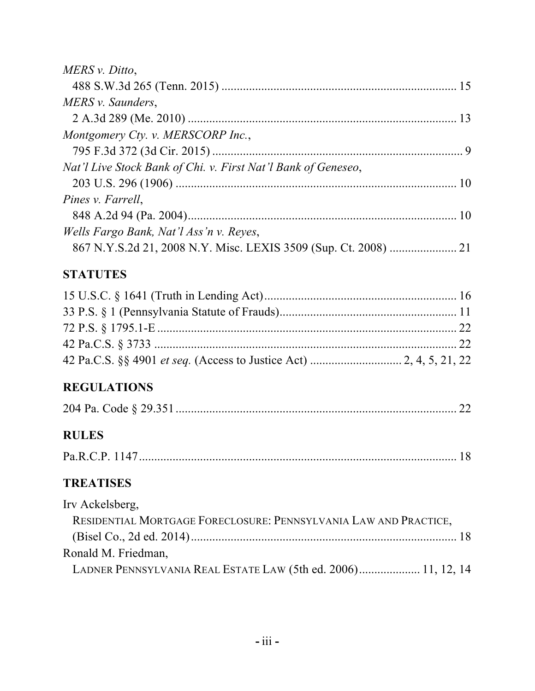| MERS v. Ditto,                                                                      |    |
|-------------------------------------------------------------------------------------|----|
|                                                                                     |    |
| MERS v. Saunders,                                                                   |    |
|                                                                                     |    |
| Montgomery Cty. v. MERSCORP Inc.,                                                   |    |
|                                                                                     |    |
| Nat'l Live Stock Bank of Chi. v. First Nat'l Bank of Geneseo,                       |    |
|                                                                                     |    |
| Pines v. Farrell,                                                                   |    |
|                                                                                     |    |
| Wells Fargo Bank, Nat'l Ass'n v. Reyes,                                             |    |
|                                                                                     |    |
| <b>STATUTES</b>                                                                     |    |
|                                                                                     |    |
|                                                                                     |    |
|                                                                                     |    |
|                                                                                     |    |
|                                                                                     |    |
| <b>REGULATIONS</b>                                                                  |    |
|                                                                                     | 22 |
| <b>RULES</b>                                                                        |    |
|                                                                                     |    |
| <b>TREATISES</b>                                                                    |    |
| Irv Ackelsberg,<br>RESIDENTIAL MORTGAGE FORECLOSURE: PENNSYLVANIA LAW AND PRACTICE, |    |
| Ronald M. Friedman,                                                                 |    |
| LADNER PENNSYLVANIA REAL ESTATE LAW (5th ed. 2006) 11, 12, 14                       |    |
|                                                                                     |    |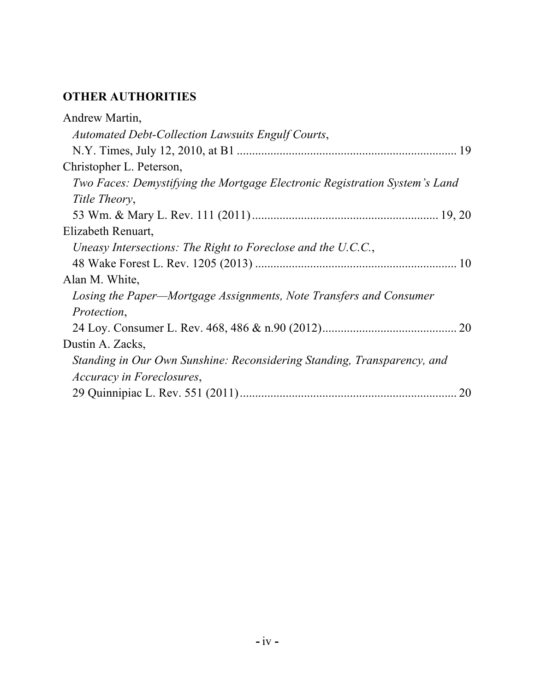# **OTHER AUTHORITIES**

| Andrew Martin,                                                             |
|----------------------------------------------------------------------------|
| Automated Debt-Collection Lawsuits Engulf Courts,                          |
|                                                                            |
| Christopher L. Peterson,                                                   |
| Two Faces: Demystifying the Mortgage Electronic Registration System's Land |
| Title Theory,                                                              |
|                                                                            |
| Elizabeth Renuart,                                                         |
| Uneasy Intersections: The Right to Foreclose and the U.C.C.,               |
|                                                                            |
| Alan M. White,                                                             |
| Losing the Paper—Mortgage Assignments, Note Transfers and Consumer         |
| Protection,                                                                |
|                                                                            |
| Dustin A. Zacks,                                                           |
| Standing in Our Own Sunshine: Reconsidering Standing, Transparency, and    |
| <i>Accuracy in Foreclosures,</i>                                           |
| 20                                                                         |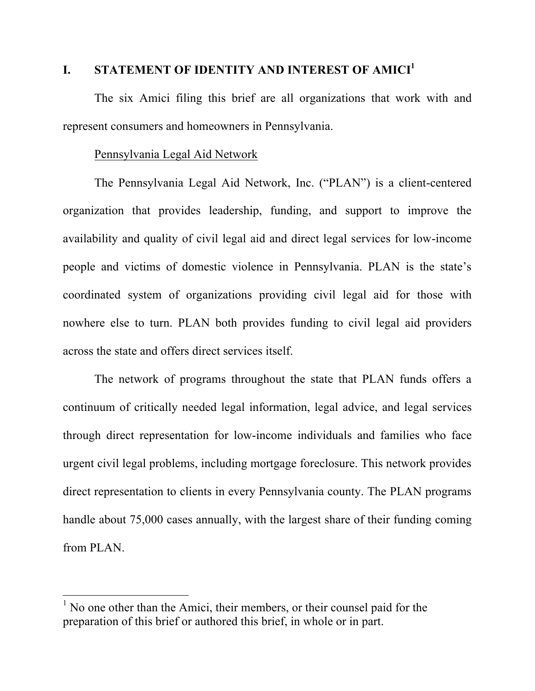#### **I. STATEMENT OF IDENTITY AND INTEREST OF AMICI<sup>1</sup>**

The six Amici filing this brief are all organizations that work with and represent consumers and homeowners in Pennsylvania.

#### Pennsylvania Legal Aid Network

The Pennsylvania Legal Aid Network, Inc. ("PLAN") is a client-centered organization that provides leadership, funding, and support to improve the availability and quality of civil legal aid and direct legal services for low-income people and victims of domestic violence in Pennsylvania. PLAN is the state's coordinated system of organizations providing civil legal aid for those with nowhere else to turn. PLAN both provides funding to civil legal aid providers across the state and offers direct services itself.

The network of programs throughout the state that PLAN funds offers a continuum of critically needed legal information, legal advice, and legal services through direct representation for low-income individuals and families who face urgent civil legal problems, including mortgage foreclosure. This network provides direct representation to clients in every Pennsylvania county. The PLAN programs handle about 75,000 cases annually, with the largest share of their funding coming from PLAN.

<u> 1989 - Johann Stein, markin film yn y breninn y breninn y breninn y breninn y breninn y breninn y breninn y b</u>

 $<sup>1</sup>$  No one other than the Amici, their members, or their counsel paid for the</sup> preparation of this brief or authored this brief, in whole or in part.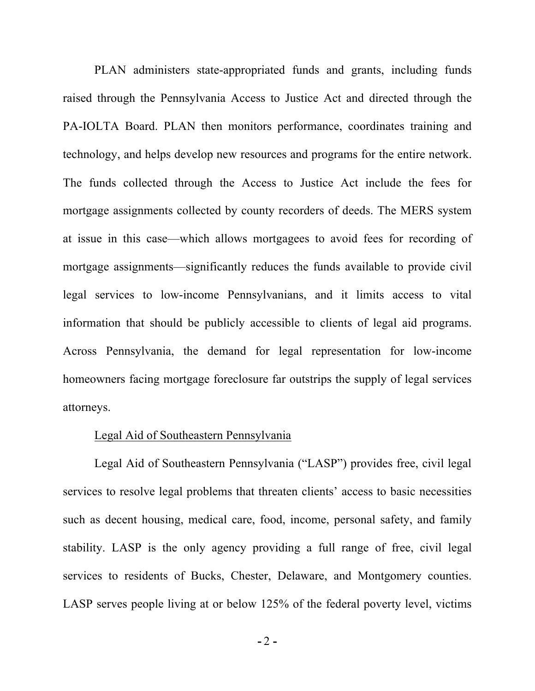PLAN administers state-appropriated funds and grants, including funds raised through the Pennsylvania Access to Justice Act and directed through the PA-IOLTA Board. PLAN then monitors performance, coordinates training and technology, and helps develop new resources and programs for the entire network. The funds collected through the Access to Justice Act include the fees for mortgage assignments collected by county recorders of deeds. The MERS system at issue in this case—which allows mortgagees to avoid fees for recording of mortgage assignments—significantly reduces the funds available to provide civil legal services to low-income Pennsylvanians, and it limits access to vital information that should be publicly accessible to clients of legal aid programs. Across Pennsylvania, the demand for legal representation for low-income homeowners facing mortgage foreclosure far outstrips the supply of legal services attorneys.

#### Legal Aid of Southeastern Pennsylvania

Legal Aid of Southeastern Pennsylvania ("LASP") provides free, civil legal services to resolve legal problems that threaten clients' access to basic necessities such as decent housing, medical care, food, income, personal safety, and family stability. LASP is the only agency providing a full range of free, civil legal services to residents of Bucks, Chester, Delaware, and Montgomery counties. LASP serves people living at or below 125% of the federal poverty level, victims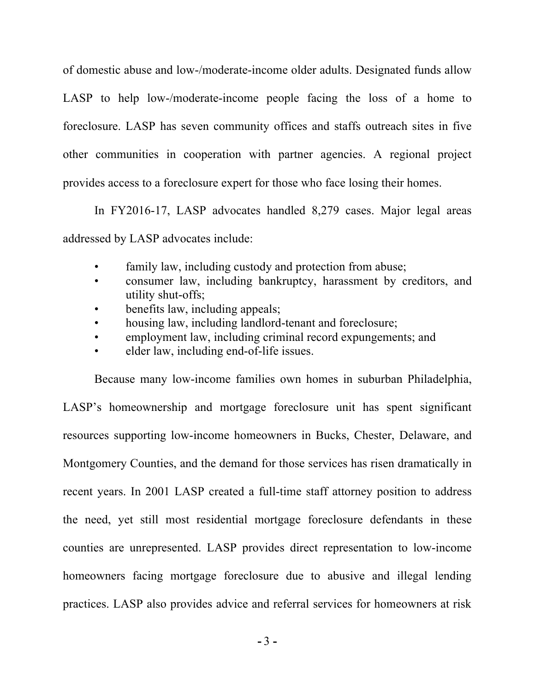of domestic abuse and low-/moderate-income older adults. Designated funds allow LASP to help low-/moderate-income people facing the loss of a home to foreclosure. LASP has seven community offices and staffs outreach sites in five other communities in cooperation with partner agencies. A regional project provides access to a foreclosure expert for those who face losing their homes.

In FY2016-17, LASP advocates handled 8,279 cases. Major legal areas addressed by LASP advocates include:

- family law, including custody and protection from abuse;
- consumer law, including bankruptcy, harassment by creditors, and utility shut-offs;
- benefits law, including appeals;
- housing law, including landlord-tenant and foreclosure;
- employment law, including criminal record expungements; and
- elder law, including end-of-life issues.

Because many low-income families own homes in suburban Philadelphia, LASP's homeownership and mortgage foreclosure unit has spent significant resources supporting low-income homeowners in Bucks, Chester, Delaware, and Montgomery Counties, and the demand for those services has risen dramatically in recent years. In 2001 LASP created a full-time staff attorney position to address the need, yet still most residential mortgage foreclosure defendants in these counties are unrepresented. LASP provides direct representation to low-income homeowners facing mortgage foreclosure due to abusive and illegal lending practices. LASP also provides advice and referral services for homeowners at risk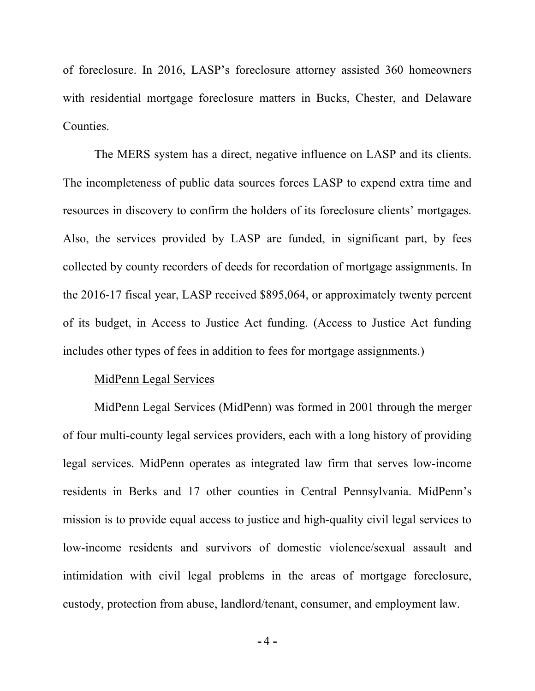of foreclosure. In 2016, LASP's foreclosure attorney assisted 360 homeowners with residential mortgage foreclosure matters in Bucks, Chester, and Delaware Counties.

The MERS system has a direct, negative influence on LASP and its clients. The incompleteness of public data sources forces LASP to expend extra time and resources in discovery to confirm the holders of its foreclosure clients' mortgages. Also, the services provided by LASP are funded, in significant part, by fees collected by county recorders of deeds for recordation of mortgage assignments. In the 2016-17 fiscal year, LASP received \$895,064, or approximately twenty percent of its budget, in Access to Justice Act funding. (Access to Justice Act funding includes other types of fees in addition to fees for mortgage assignments.)

#### MidPenn Legal Services

MidPenn Legal Services (MidPenn) was formed in 2001 through the merger of four multi-county legal services providers, each with a long history of providing legal services. MidPenn operates as integrated law firm that serves low-income residents in Berks and 17 other counties in Central Pennsylvania. MidPenn's mission is to provide equal access to justice and high-quality civil legal services to low-income residents and survivors of domestic violence/sexual assault and intimidation with civil legal problems in the areas of mortgage foreclosure, custody, protection from abuse, landlord/tenant, consumer, and employment law.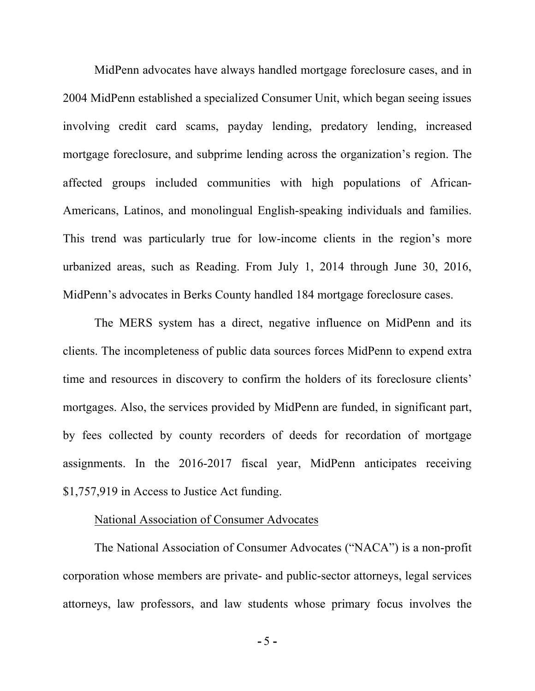MidPenn advocates have always handled mortgage foreclosure cases, and in 2004 MidPenn established a specialized Consumer Unit, which began seeing issues involving credit card scams, payday lending, predatory lending, increased mortgage foreclosure, and subprime lending across the organization's region. The affected groups included communities with high populations of African-Americans, Latinos, and monolingual English-speaking individuals and families. This trend was particularly true for low-income clients in the region's more urbanized areas, such as Reading. From July 1, 2014 through June 30, 2016, MidPenn's advocates in Berks County handled 184 mortgage foreclosure cases.

The MERS system has a direct, negative influence on MidPenn and its clients. The incompleteness of public data sources forces MidPenn to expend extra time and resources in discovery to confirm the holders of its foreclosure clients' mortgages. Also, the services provided by MidPenn are funded, in significant part, by fees collected by county recorders of deeds for recordation of mortgage assignments. In the 2016-2017 fiscal year, MidPenn anticipates receiving \$1,757,919 in Access to Justice Act funding.

#### National Association of Consumer Advocates

The National Association of Consumer Advocates ("NACA") is a non-profit corporation whose members are private- and public-sector attorneys, legal services attorneys, law professors, and law students whose primary focus involves the

**-** 5 **-**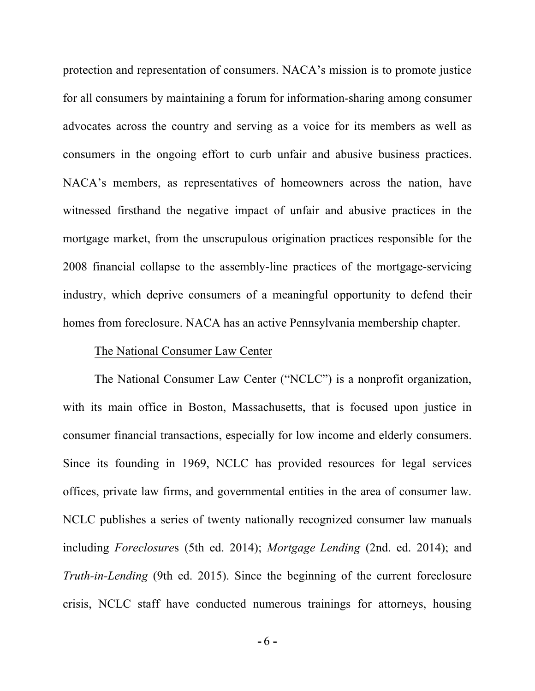protection and representation of consumers. NACA's mission is to promote justice for all consumers by maintaining a forum for information-sharing among consumer advocates across the country and serving as a voice for its members as well as consumers in the ongoing effort to curb unfair and abusive business practices. NACA's members, as representatives of homeowners across the nation, have witnessed firsthand the negative impact of unfair and abusive practices in the mortgage market, from the unscrupulous origination practices responsible for the 2008 financial collapse to the assembly-line practices of the mortgage-servicing industry, which deprive consumers of a meaningful opportunity to defend their homes from foreclosure. NACA has an active Pennsylvania membership chapter.

#### The National Consumer Law Center

The National Consumer Law Center ("NCLC") is a nonprofit organization, with its main office in Boston, Massachusetts, that is focused upon justice in consumer financial transactions, especially for low income and elderly consumers. Since its founding in 1969, NCLC has provided resources for legal services offices, private law firms, and governmental entities in the area of consumer law. NCLC publishes a series of twenty nationally recognized consumer law manuals including *Foreclosure*s (5th ed. 2014); *Mortgage Lending* (2nd. ed. 2014); and *Truth-in-Lending* (9th ed. 2015). Since the beginning of the current foreclosure crisis, NCLC staff have conducted numerous trainings for attorneys, housing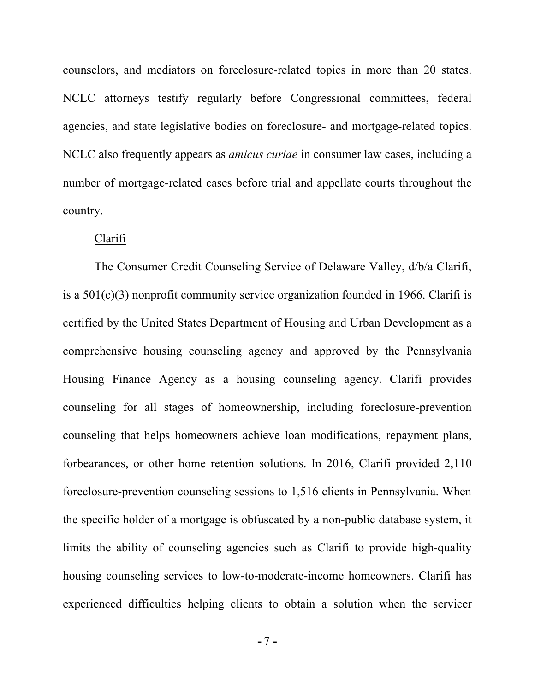counselors, and mediators on foreclosure-related topics in more than 20 states. NCLC attorneys testify regularly before Congressional committees, federal agencies, and state legislative bodies on foreclosure- and mortgage-related topics. NCLC also frequently appears as *amicus curiae* in consumer law cases, including a number of mortgage-related cases before trial and appellate courts throughout the country.

#### Clarifi

The Consumer Credit Counseling Service of Delaware Valley, d/b/a Clarifi, is a  $501(c)(3)$  nonprofit community service organization founded in 1966. Clarifi is certified by the United States Department of Housing and Urban Development as a comprehensive housing counseling agency and approved by the Pennsylvania Housing Finance Agency as a housing counseling agency. Clarifi provides counseling for all stages of homeownership, including foreclosure-prevention counseling that helps homeowners achieve loan modifications, repayment plans, forbearances, or other home retention solutions. In 2016, Clarifi provided 2,110 foreclosure-prevention counseling sessions to 1,516 clients in Pennsylvania. When the specific holder of a mortgage is obfuscated by a non-public database system, it limits the ability of counseling agencies such as Clarifi to provide high-quality housing counseling services to low-to-moderate-income homeowners. Clarifi has experienced difficulties helping clients to obtain a solution when the servicer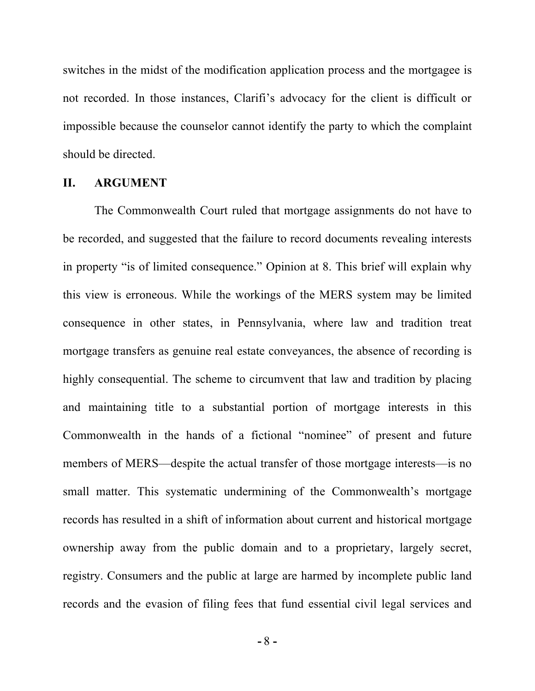switches in the midst of the modification application process and the mortgagee is not recorded. In those instances, Clarifi's advocacy for the client is difficult or impossible because the counselor cannot identify the party to which the complaint should be directed.

#### **II. ARGUMENT**

The Commonwealth Court ruled that mortgage assignments do not have to be recorded, and suggested that the failure to record documents revealing interests in property "is of limited consequence." Opinion at 8. This brief will explain why this view is erroneous. While the workings of the MERS system may be limited consequence in other states, in Pennsylvania, where law and tradition treat mortgage transfers as genuine real estate conveyances, the absence of recording is highly consequential. The scheme to circumvent that law and tradition by placing and maintaining title to a substantial portion of mortgage interests in this Commonwealth in the hands of a fictional "nominee" of present and future members of MERS—despite the actual transfer of those mortgage interests—is no small matter. This systematic undermining of the Commonwealth's mortgage records has resulted in a shift of information about current and historical mortgage ownership away from the public domain and to a proprietary, largely secret, registry. Consumers and the public at large are harmed by incomplete public land records and the evasion of filing fees that fund essential civil legal services and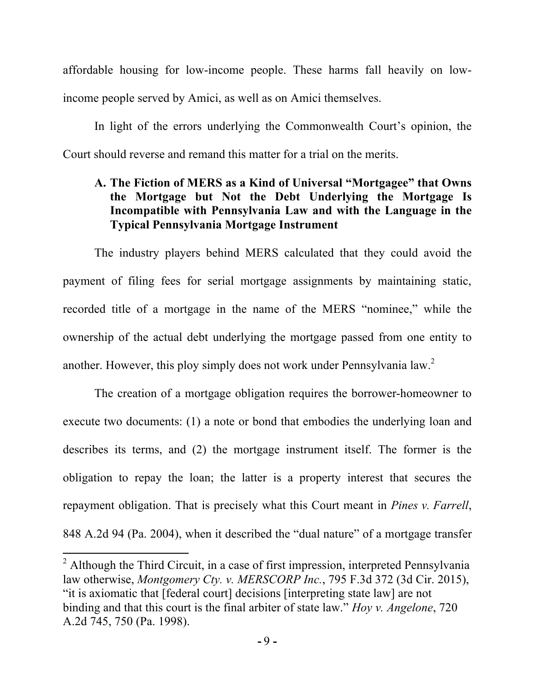affordable housing for low-income people. These harms fall heavily on lowincome people served by Amici, as well as on Amici themselves.

In light of the errors underlying the Commonwealth Court's opinion, the Court should reverse and remand this matter for a trial on the merits.

## **A. The Fiction of MERS as a Kind of Universal "Mortgagee" that Owns the Mortgage but Not the Debt Underlying the Mortgage Is Incompatible with Pennsylvania Law and with the Language in the Typical Pennsylvania Mortgage Instrument**

The industry players behind MERS calculated that they could avoid the payment of filing fees for serial mortgage assignments by maintaining static, recorded title of a mortgage in the name of the MERS "nominee," while the ownership of the actual debt underlying the mortgage passed from one entity to another. However, this ploy simply does not work under Pennsylvania law.<sup>2</sup>

The creation of a mortgage obligation requires the borrower-homeowner to execute two documents: (1) a note or bond that embodies the underlying loan and describes its terms, and (2) the mortgage instrument itself. The former is the obligation to repay the loan; the latter is a property interest that secures the repayment obligation. That is precisely what this Court meant in *Pines v. Farrell*, 848 A.2d 94 (Pa. 2004), when it described the "dual nature" of a mortgage transfer

<u> 1989 - Johann Stein, markin film yn y breninn y breninn y breninn y breninn y breninn y breninn y breninn y b</u>

 $2$  Although the Third Circuit, in a case of first impression, interpreted Pennsylvania law otherwise, *Montgomery Cty. v. MERSCORP Inc.*, 795 F.3d 372 (3d Cir. 2015), "it is axiomatic that [federal court] decisions [interpreting state law] are not binding and that this court is the final arbiter of state law." *Hoy v. Angelone*, 720 A.2d 745, 750 (Pa. 1998).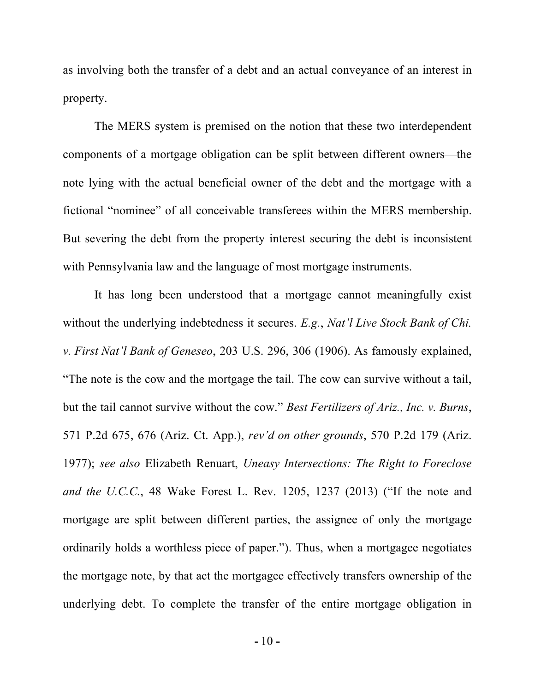as involving both the transfer of a debt and an actual conveyance of an interest in property.

The MERS system is premised on the notion that these two interdependent components of a mortgage obligation can be split between different owners—the note lying with the actual beneficial owner of the debt and the mortgage with a fictional "nominee" of all conceivable transferees within the MERS membership. But severing the debt from the property interest securing the debt is inconsistent with Pennsylvania law and the language of most mortgage instruments.

It has long been understood that a mortgage cannot meaningfully exist without the underlying indebtedness it secures. *E.g.*, *Nat'l Live Stock Bank of Chi. v. First Nat'l Bank of Geneseo*, 203 U.S. 296, 306 (1906). As famously explained, "The note is the cow and the mortgage the tail. The cow can survive without a tail, but the tail cannot survive without the cow." *Best Fertilizers of Ariz., Inc. v. Burns*, 571 P.2d 675, 676 (Ariz. Ct. App.), *rev'd on other grounds*, 570 P.2d 179 (Ariz. 1977); *see also* Elizabeth Renuart, *Uneasy Intersections: The Right to Foreclose and the U.C.C.*, 48 Wake Forest L. Rev. 1205, 1237 (2013) ("If the note and mortgage are split between different parties, the assignee of only the mortgage ordinarily holds a worthless piece of paper."). Thus, when a mortgagee negotiates the mortgage note, by that act the mortgagee effectively transfers ownership of the underlying debt. To complete the transfer of the entire mortgage obligation in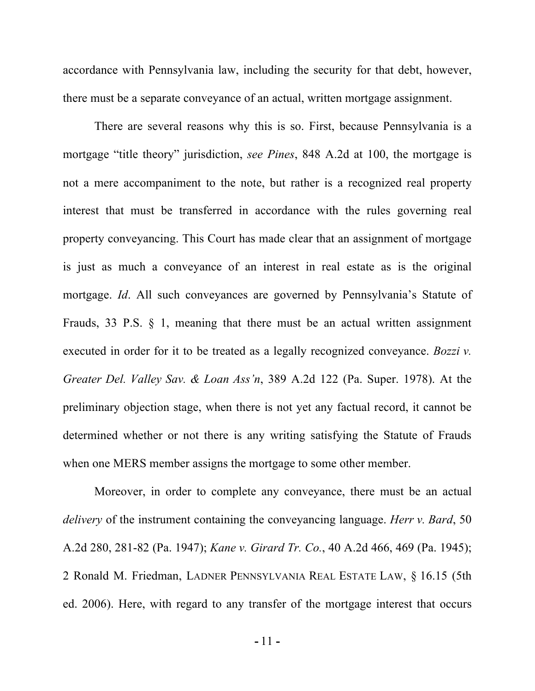accordance with Pennsylvania law, including the security for that debt, however, there must be a separate conveyance of an actual, written mortgage assignment.

There are several reasons why this is so. First, because Pennsylvania is a mortgage "title theory" jurisdiction, *see Pines*, 848 A.2d at 100, the mortgage is not a mere accompaniment to the note, but rather is a recognized real property interest that must be transferred in accordance with the rules governing real property conveyancing. This Court has made clear that an assignment of mortgage is just as much a conveyance of an interest in real estate as is the original mortgage. *Id*. All such conveyances are governed by Pennsylvania's Statute of Frauds, 33 P.S. § 1, meaning that there must be an actual written assignment executed in order for it to be treated as a legally recognized conveyance. *Bozzi v. Greater Del. Valley Sav. & Loan Ass'n*, 389 A.2d 122 (Pa. Super. 1978). At the preliminary objection stage, when there is not yet any factual record, it cannot be determined whether or not there is any writing satisfying the Statute of Frauds when one MERS member assigns the mortgage to some other member.

Moreover, in order to complete any conveyance, there must be an actual *delivery* of the instrument containing the conveyancing language. *Herr v. Bard*, 50 A.2d 280, 281-82 (Pa. 1947); *Kane v. Girard Tr. Co.*, 40 A.2d 466, 469 (Pa. 1945); 2 Ronald M. Friedman, LADNER PENNSYLVANIA REAL ESTATE LAW, § 16.15 (5th ed. 2006). Here, with regard to any transfer of the mortgage interest that occurs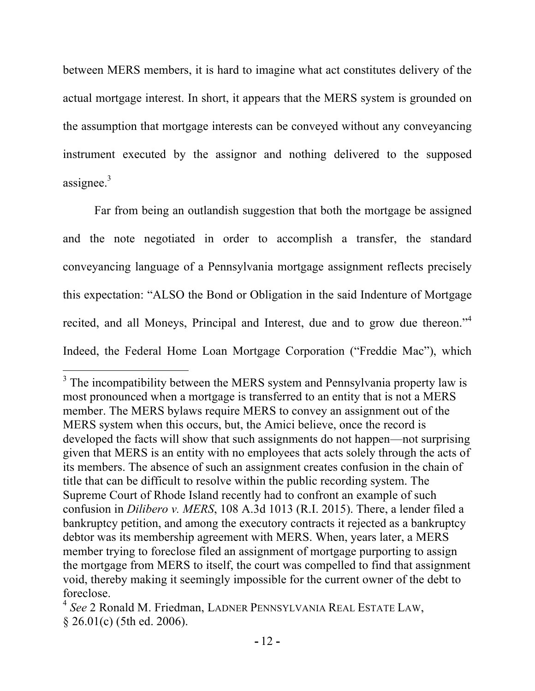between MERS members, it is hard to imagine what act constitutes delivery of the actual mortgage interest. In short, it appears that the MERS system is grounded on the assumption that mortgage interests can be conveyed without any conveyancing instrument executed by the assignor and nothing delivered to the supposed assignee. $3$ 

Far from being an outlandish suggestion that both the mortgage be assigned and the note negotiated in order to accomplish a transfer, the standard conveyancing language of a Pennsylvania mortgage assignment reflects precisely this expectation: "ALSO the Bond or Obligation in the said Indenture of Mortgage recited, and all Moneys, Principal and Interest, due and to grow due thereon.<sup>34</sup> Indeed, the Federal Home Loan Mortgage Corporation ("Freddie Mac"), which

<u> 1989 - Johann Stein, markin film yn y breninn y breninn y breninn y breninn y breninn y breninn y breninn y b</u>

 $3$  The incompatibility between the MERS system and Pennsylvania property law is most pronounced when a mortgage is transferred to an entity that is not a MERS member. The MERS bylaws require MERS to convey an assignment out of the MERS system when this occurs, but, the Amici believe, once the record is developed the facts will show that such assignments do not happen—not surprising given that MERS is an entity with no employees that acts solely through the acts of its members. The absence of such an assignment creates confusion in the chain of title that can be difficult to resolve within the public recording system. The Supreme Court of Rhode Island recently had to confront an example of such confusion in *Dilibero v. MERS*, 108 A.3d 1013 (R.I. 2015). There, a lender filed a bankruptcy petition, and among the executory contracts it rejected as a bankruptcy debtor was its membership agreement with MERS. When, years later, a MERS member trying to foreclose filed an assignment of mortgage purporting to assign the mortgage from MERS to itself, the court was compelled to find that assignment void, thereby making it seemingly impossible for the current owner of the debt to foreclose.

<sup>4</sup> *See* 2 Ronald M. Friedman, LADNER PENNSYLVANIA REAL ESTATE LAW, § 26.01(c) (5th ed. 2006).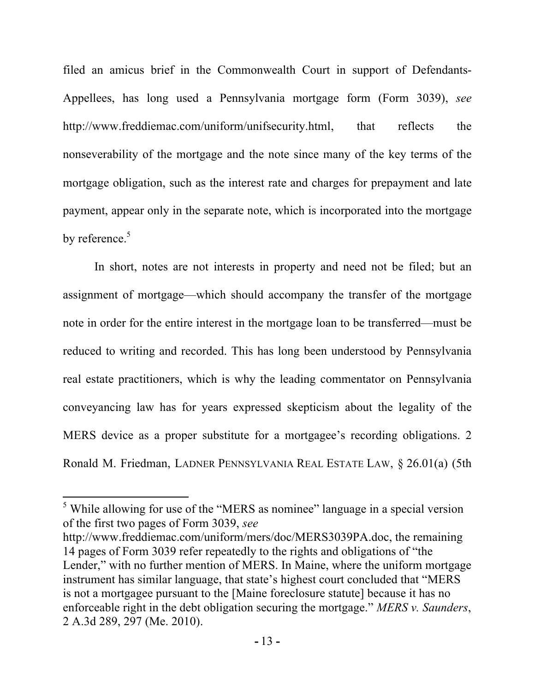filed an amicus brief in the Commonwealth Court in support of Defendants-Appellees, has long used a Pennsylvania mortgage form (Form 3039), *see* http://www.freddiemac.com/uniform/unifsecurity.html, that reflects the nonseverability of the mortgage and the note since many of the key terms of the mortgage obligation, such as the interest rate and charges for prepayment and late payment, appear only in the separate note, which is incorporated into the mortgage by reference. $5$ 

In short, notes are not interests in property and need not be filed; but an assignment of mortgage—which should accompany the transfer of the mortgage note in order for the entire interest in the mortgage loan to be transferred—must be reduced to writing and recorded. This has long been understood by Pennsylvania real estate practitioners, which is why the leading commentator on Pennsylvania conveyancing law has for years expressed skepticism about the legality of the MERS device as a proper substitute for a mortgagee's recording obligations. 2 Ronald M. Friedman, LADNER PENNSYLVANIA REAL ESTATE LAW, § 26.01(a) (5th

<u> 1989 - Johann Stein, markin film yn y breninn y breninn y breninn y breninn y breninn y breninn y breninn y b</u>

 $<sup>5</sup>$  While allowing for use of the "MERS as nominee" language in a special version</sup> of the first two pages of Form 3039, *see*

http://www.freddiemac.com/uniform/mers/doc/MERS3039PA.doc, the remaining 14 pages of Form 3039 refer repeatedly to the rights and obligations of "the Lender," with no further mention of MERS. In Maine, where the uniform mortgage instrument has similar language, that state's highest court concluded that "MERS is not a mortgagee pursuant to the [Maine foreclosure statute] because it has no enforceable right in the debt obligation securing the mortgage." *MERS v. Saunders*, 2 A.3d 289, 297 (Me. 2010).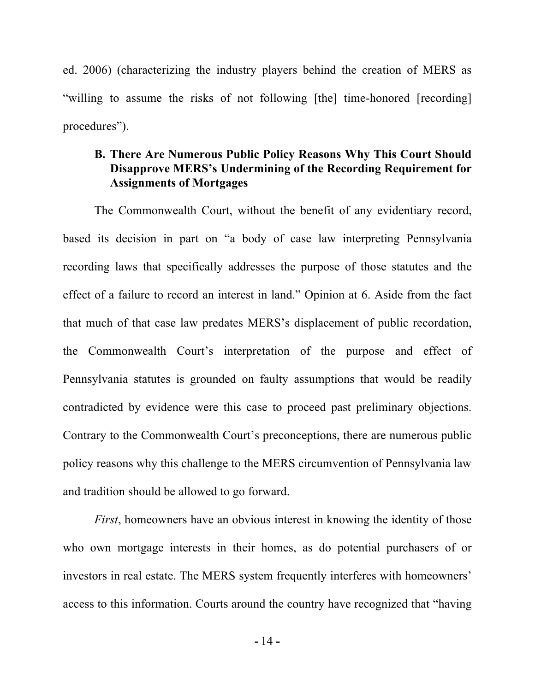ed. 2006) (characterizing the industry players behind the creation of MERS as "willing to assume the risks of not following [the] time-honored [recording] procedures").

## **B. There Are Numerous Public Policy Reasons Why This Court Should Disapprove MERS's Undermining of the Recording Requirement for Assignments of Mortgages**

The Commonwealth Court, without the benefit of any evidentiary record, based its decision in part on "a body of case law interpreting Pennsylvania recording laws that specifically addresses the purpose of those statutes and the effect of a failure to record an interest in land." Opinion at 6. Aside from the fact that much of that case law predates MERS's displacement of public recordation, the Commonwealth Court's interpretation of the purpose and effect of Pennsylvania statutes is grounded on faulty assumptions that would be readily contradicted by evidence were this case to proceed past preliminary objections. Contrary to the Commonwealth Court's preconceptions, there are numerous public policy reasons why this challenge to the MERS circumvention of Pennsylvania law and tradition should be allowed to go forward.

*First*, homeowners have an obvious interest in knowing the identity of those who own mortgage interests in their homes, as do potential purchasers of or investors in real estate. The MERS system frequently interferes with homeowners' access to this information. Courts around the country have recognized that "having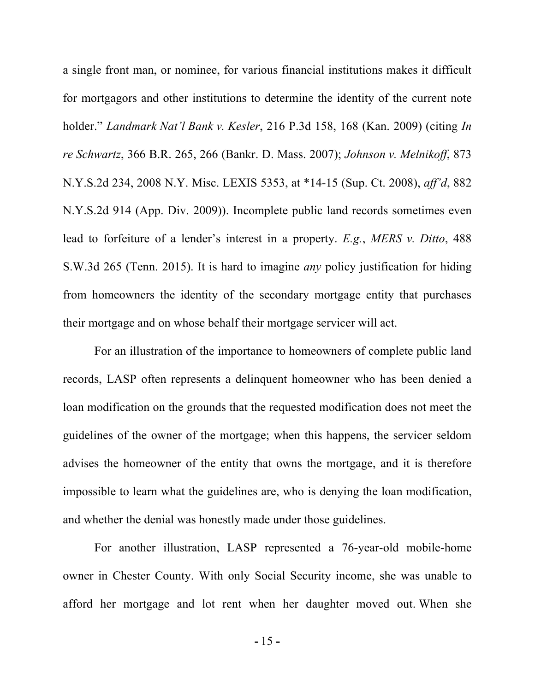a single front man, or nominee, for various financial institutions makes it difficult for mortgagors and other institutions to determine the identity of the current note holder." *Landmark Nat'l Bank v. Kesler*, 216 P.3d 158, 168 (Kan. 2009) (citing *In re Schwartz*, 366 B.R. 265, 266 (Bankr. D. Mass. 2007); *Johnson v. Melnikoff*, 873 N.Y.S.2d 234, 2008 N.Y. Misc. LEXIS 5353, at \*14-15 (Sup. Ct. 2008), *aff'd*, 882 N.Y.S.2d 914 (App. Div. 2009)). Incomplete public land records sometimes even lead to forfeiture of a lender's interest in a property. *E.g.*, *MERS v. Ditto*, 488 S.W.3d 265 (Tenn. 2015). It is hard to imagine *any* policy justification for hiding from homeowners the identity of the secondary mortgage entity that purchases their mortgage and on whose behalf their mortgage servicer will act.

For an illustration of the importance to homeowners of complete public land records, LASP often represents a delinquent homeowner who has been denied a loan modification on the grounds that the requested modification does not meet the guidelines of the owner of the mortgage; when this happens, the servicer seldom advises the homeowner of the entity that owns the mortgage, and it is therefore impossible to learn what the guidelines are, who is denying the loan modification, and whether the denial was honestly made under those guidelines.

For another illustration, LASP represented a 76-year-old mobile-home owner in Chester County. With only Social Security income, she was unable to afford her mortgage and lot rent when her daughter moved out. When she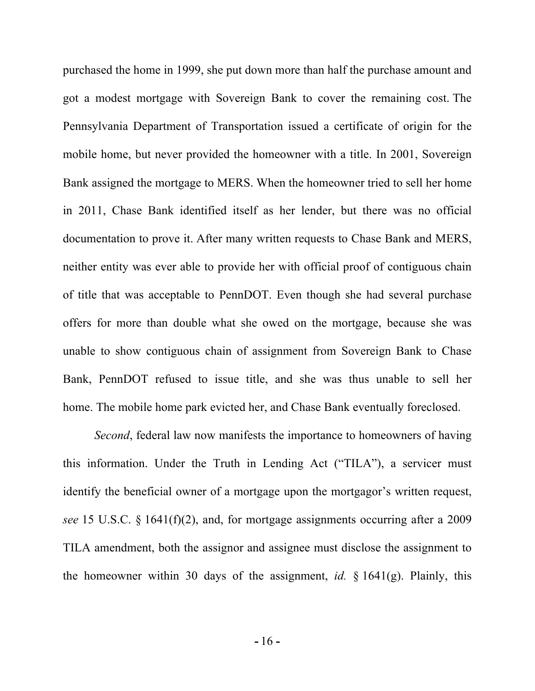purchased the home in 1999, she put down more than half the purchase amount and got a modest mortgage with Sovereign Bank to cover the remaining cost. The Pennsylvania Department of Transportation issued a certificate of origin for the mobile home, but never provided the homeowner with a title. In 2001, Sovereign Bank assigned the mortgage to MERS. When the homeowner tried to sell her home in 2011, Chase Bank identified itself as her lender, but there was no official documentation to prove it. After many written requests to Chase Bank and MERS, neither entity was ever able to provide her with official proof of contiguous chain of title that was acceptable to PennDOT. Even though she had several purchase offers for more than double what she owed on the mortgage, because she was unable to show contiguous chain of assignment from Sovereign Bank to Chase Bank, PennDOT refused to issue title, and she was thus unable to sell her home. The mobile home park evicted her, and Chase Bank eventually foreclosed.

*Second*, federal law now manifests the importance to homeowners of having this information. Under the Truth in Lending Act ("TILA"), a servicer must identify the beneficial owner of a mortgage upon the mortgagor's written request, *see* 15 U.S.C. § 1641(f)(2), and, for mortgage assignments occurring after a 2009 TILA amendment, both the assignor and assignee must disclose the assignment to the homeowner within 30 days of the assignment, *id.* § 1641(g). Plainly, this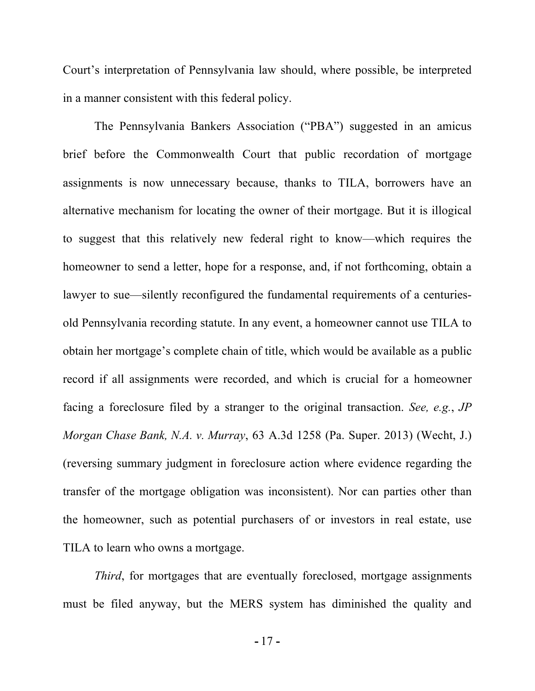Court's interpretation of Pennsylvania law should, where possible, be interpreted in a manner consistent with this federal policy.

The Pennsylvania Bankers Association ("PBA") suggested in an amicus brief before the Commonwealth Court that public recordation of mortgage assignments is now unnecessary because, thanks to TILA, borrowers have an alternative mechanism for locating the owner of their mortgage. But it is illogical to suggest that this relatively new federal right to know—which requires the homeowner to send a letter, hope for a response, and, if not forthcoming, obtain a lawyer to sue—silently reconfigured the fundamental requirements of a centuriesold Pennsylvania recording statute. In any event, a homeowner cannot use TILA to obtain her mortgage's complete chain of title, which would be available as a public record if all assignments were recorded, and which is crucial for a homeowner facing a foreclosure filed by a stranger to the original transaction. *See, e.g.*, *JP Morgan Chase Bank, N.A. v. Murray*, 63 A.3d 1258 (Pa. Super. 2013) (Wecht, J.) (reversing summary judgment in foreclosure action where evidence regarding the transfer of the mortgage obligation was inconsistent). Nor can parties other than the homeowner, such as potential purchasers of or investors in real estate, use TILA to learn who owns a mortgage.

*Third*, for mortgages that are eventually foreclosed, mortgage assignments must be filed anyway, but the MERS system has diminished the quality and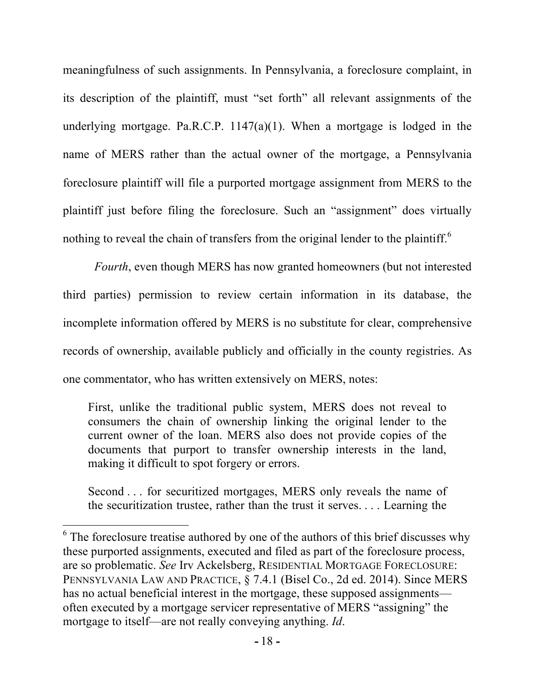meaningfulness of such assignments. In Pennsylvania, a foreclosure complaint, in its description of the plaintiff, must "set forth" all relevant assignments of the underlying mortgage. Pa.R.C.P.  $1147(a)(1)$ . When a mortgage is lodged in the name of MERS rather than the actual owner of the mortgage, a Pennsylvania foreclosure plaintiff will file a purported mortgage assignment from MERS to the plaintiff just before filing the foreclosure. Such an "assignment" does virtually nothing to reveal the chain of transfers from the original lender to the plaintiff.<sup>6</sup>

*Fourth*, even though MERS has now granted homeowners (but not interested third parties) permission to review certain information in its database, the incomplete information offered by MERS is no substitute for clear, comprehensive records of ownership, available publicly and officially in the county registries. As one commentator, who has written extensively on MERS, notes:

First, unlike the traditional public system, MERS does not reveal to consumers the chain of ownership linking the original lender to the current owner of the loan. MERS also does not provide copies of the documents that purport to transfer ownership interests in the land, making it difficult to spot forgery or errors.

Second . . . for securitized mortgages, MERS only reveals the name of the securitization trustee, rather than the trust it serves. . . . Learning the

 $6$  The foreclosure treatise authored by one of the authors of this brief discusses why these purported assignments, executed and filed as part of the foreclosure process, are so problematic. *See* Irv Ackelsberg, RESIDENTIAL MORTGAGE FORECLOSURE: PENNSYLVANIA LAW AND PRACTICE, § 7.4.1 (Bisel Co., 2d ed. 2014). Since MERS has no actual beneficial interest in the mortgage, these supposed assignments often executed by a mortgage servicer representative of MERS "assigning" the mortgage to itself—are not really conveying anything. *Id*.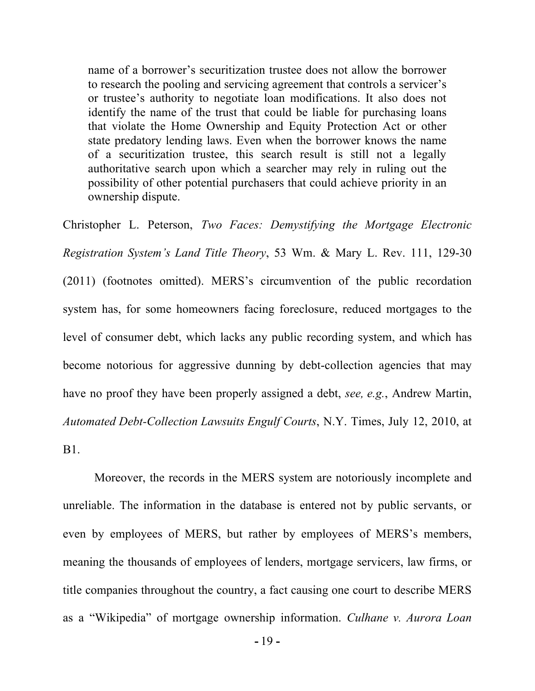name of a borrower's securitization trustee does not allow the borrower to research the pooling and servicing agreement that controls a servicer's or trustee's authority to negotiate loan modifications. It also does not identify the name of the trust that could be liable for purchasing loans that violate the Home Ownership and Equity Protection Act or other state predatory lending laws. Even when the borrower knows the name of a securitization trustee, this search result is still not a legally authoritative search upon which a searcher may rely in ruling out the possibility of other potential purchasers that could achieve priority in an ownership dispute.

Christopher L. Peterson, *Two Faces: Demystifying the Mortgage Electronic Registration System's Land Title Theory*, 53 Wm. & Mary L. Rev. 111, 129-30 (2011) (footnotes omitted). MERS's circumvention of the public recordation system has, for some homeowners facing foreclosure, reduced mortgages to the level of consumer debt, which lacks any public recording system, and which has become notorious for aggressive dunning by debt-collection agencies that may have no proof they have been properly assigned a debt, *see, e.g.*, Andrew Martin, *Automated Debt-Collection Lawsuits Engulf Courts*, N.Y. Times, July 12, 2010, at B1.

Moreover, the records in the MERS system are notoriously incomplete and unreliable. The information in the database is entered not by public servants, or even by employees of MERS, but rather by employees of MERS's members, meaning the thousands of employees of lenders, mortgage servicers, law firms, or title companies throughout the country, a fact causing one court to describe MERS as a "Wikipedia" of mortgage ownership information. *Culhane v. Aurora Loan*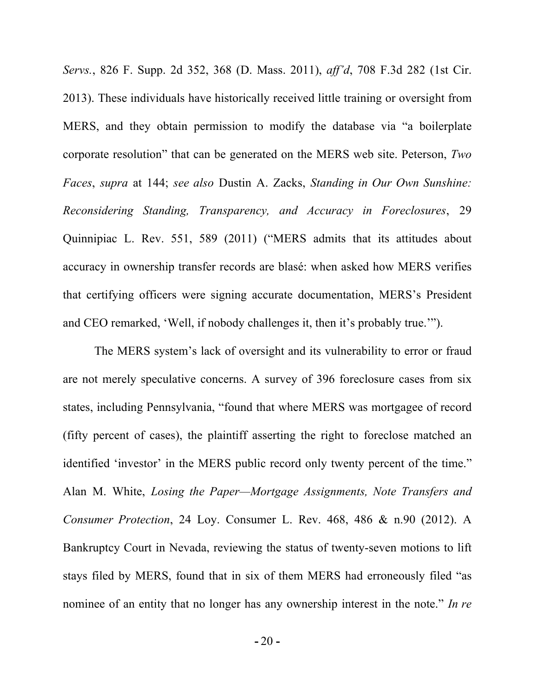*Servs.*, 826 F. Supp. 2d 352, 368 (D. Mass. 2011), *aff'd*, 708 F.3d 282 (1st Cir. 2013). These individuals have historically received little training or oversight from MERS, and they obtain permission to modify the database via "a boilerplate corporate resolution" that can be generated on the MERS web site. Peterson, *Two Faces*, *supra* at 144; *see also* Dustin A. Zacks, *Standing in Our Own Sunshine: Reconsidering Standing, Transparency, and Accuracy in Foreclosures*, 29 Quinnipiac L. Rev. 551, 589 (2011) ("MERS admits that its attitudes about accuracy in ownership transfer records are blasé: when asked how MERS verifies that certifying officers were signing accurate documentation, MERS's President and CEO remarked, 'Well, if nobody challenges it, then it's probably true.'").

The MERS system's lack of oversight and its vulnerability to error or fraud are not merely speculative concerns. A survey of 396 foreclosure cases from six states, including Pennsylvania, "found that where MERS was mortgagee of record (fifty percent of cases), the plaintiff asserting the right to foreclose matched an identified 'investor' in the MERS public record only twenty percent of the time." Alan M. White, *Losing the Paper—Mortgage Assignments, Note Transfers and Consumer Protection*, 24 Loy. Consumer L. Rev. 468, 486 & n.90 (2012). A Bankruptcy Court in Nevada, reviewing the status of twenty-seven motions to lift stays filed by MERS, found that in six of them MERS had erroneously filed "as nominee of an entity that no longer has any ownership interest in the note." *In re*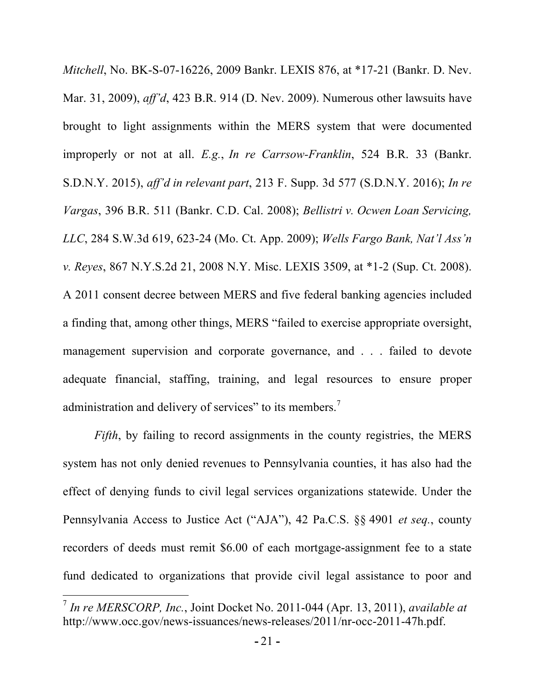*Mitchell*, No. BK-S-07-16226, 2009 Bankr. LEXIS 876, at \*17-21 (Bankr. D. Nev. Mar. 31, 2009), *aff'd*, 423 B.R. 914 (D. Nev. 2009). Numerous other lawsuits have brought to light assignments within the MERS system that were documented improperly or not at all. *E.g.*, *In re Carrsow-Franklin*, 524 B.R. 33 (Bankr. S.D.N.Y. 2015), *aff'd in relevant part*, 213 F. Supp. 3d 577 (S.D.N.Y. 2016); *In re Vargas*, 396 B.R. 511 (Bankr. C.D. Cal. 2008); *Bellistri v. Ocwen Loan Servicing, LLC*, 284 S.W.3d 619, 623-24 (Mo. Ct. App. 2009); *Wells Fargo Bank, Nat'l Ass'n v. Reyes*, 867 N.Y.S.2d 21, 2008 N.Y. Misc. LEXIS 3509, at \*1-2 (Sup. Ct. 2008). A 2011 consent decree between MERS and five federal banking agencies included a finding that, among other things, MERS "failed to exercise appropriate oversight, management supervision and corporate governance, and . . . failed to devote adequate financial, staffing, training, and legal resources to ensure proper administration and delivery of services" to its members.<sup>7</sup>

*Fifth*, by failing to record assignments in the county registries, the MERS system has not only denied revenues to Pennsylvania counties, it has also had the effect of denying funds to civil legal services organizations statewide. Under the Pennsylvania Access to Justice Act ("AJA"), 42 Pa.C.S. §§ 4901 *et seq.*, county recorders of deeds must remit \$6.00 of each mortgage-assignment fee to a state fund dedicated to organizations that provide civil legal assistance to poor and

<u> 1989 - Johann Stein, markin film yn y breninn y breninn y breninn y breninn y breninn y breninn y breninn y b</u>

<sup>7</sup> *In re MERSCORP, Inc.*, Joint Docket No. 2011-044 (Apr. 13, 2011), *available at*  http://www.occ.gov/news-issuances/news-releases/2011/nr-occ-2011-47h.pdf.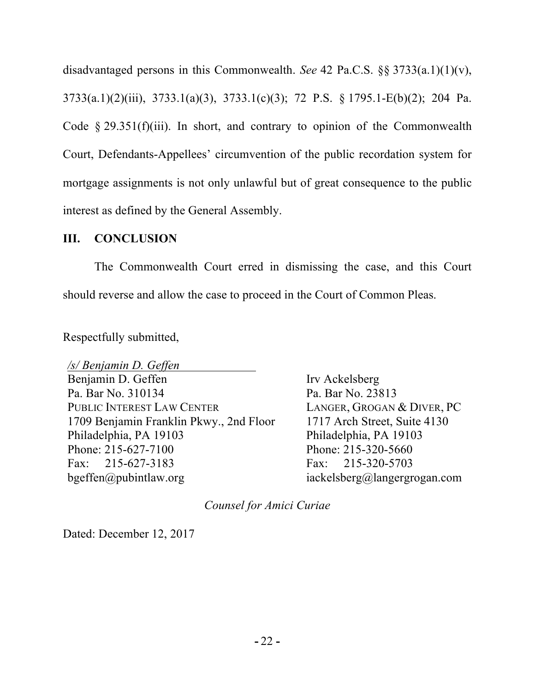disadvantaged persons in this Commonwealth. *See* 42 Pa.C.S. §§ 3733(a.1)(1)(v), 3733(a.1)(2)(iii), 3733.1(a)(3), 3733.1(c)(3); 72 P.S. § 1795.1-E(b)(2); 204 Pa. Code  $\S 29.351(f)(iii)$ . In short, and contrary to opinion of the Commonwealth Court, Defendants-Appellees' circumvention of the public recordation system for mortgage assignments is not only unlawful but of great consequence to the public interest as defined by the General Assembly.

### **III. CONCLUSION**

The Commonwealth Court erred in dismissing the case, and this Court should reverse and allow the case to proceed in the Court of Common Pleas.

Respectfully submitted,

*/s/ Benjamin D. Geffen* Benjamin D. Geffen Pa. Bar No. 310134 PUBLIC INTEREST LAW CENTER 1709 Benjamin Franklin Pkwy., 2nd Floor Philadelphia, PA 19103 Phone: 215-627-7100 Fax: 215-627-3183 bgeffen@pubintlaw.org

Irv Ackelsberg Pa. Bar No. 23813 LANGER, GROGAN & DIVER, PC 1717 Arch Street, Suite 4130 Philadelphia, PA 19103 Phone: 215-320-5660 Fax: 215-320-5703 iackelsberg@langergrogan.com

*Counsel for Amici Curiae*

Dated: December 12, 2017